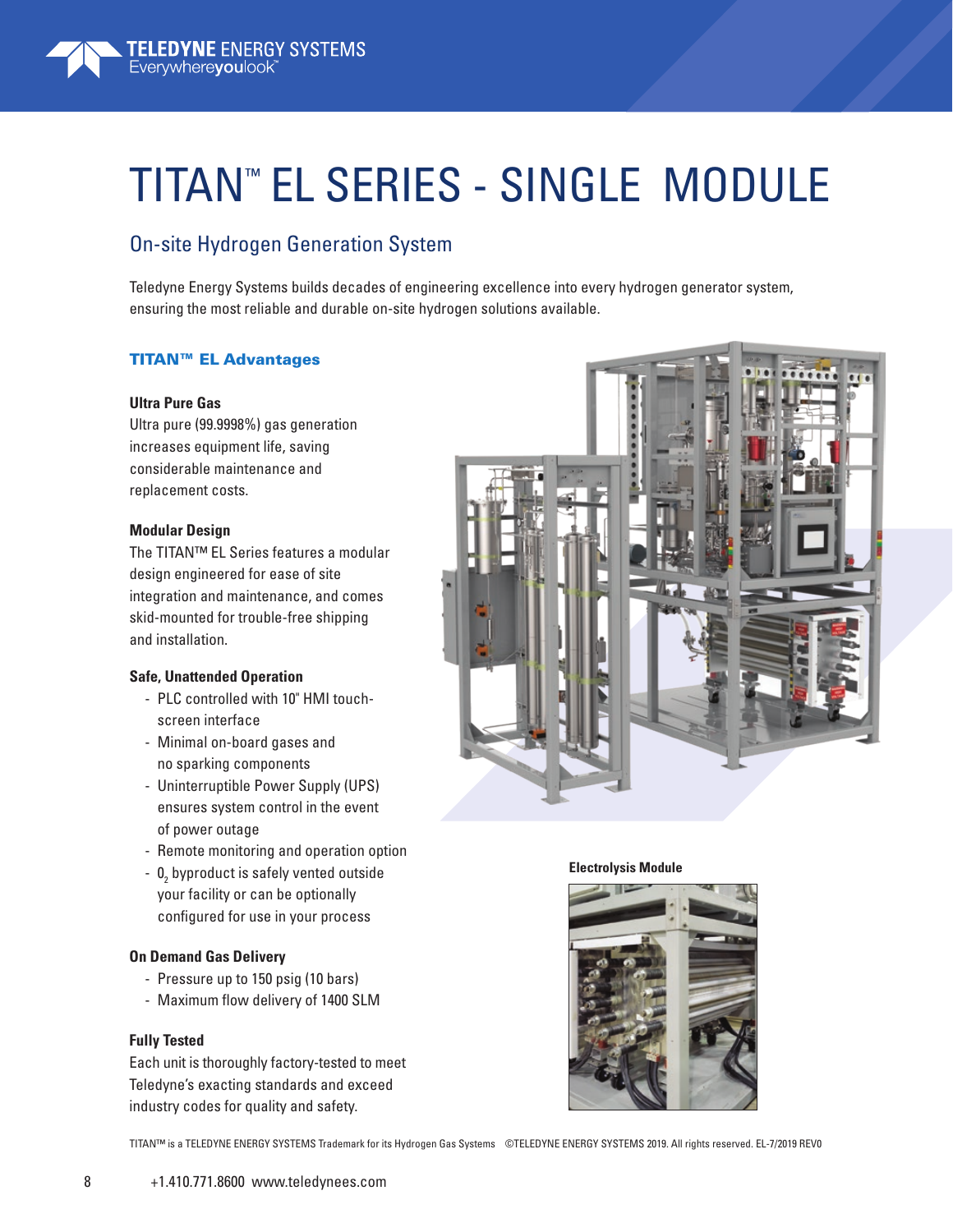

# TITAN™ EL SERIES - SINGLE MODULE

### On-site Hydrogen Generation System

Teledyne Energy Systems builds decades of engineering excellence into every hydrogen generator system, ensuring the most reliable and durable on-site hydrogen solutions available.

#### TITAN™ EL Advantages

#### **Ultra Pure Gas**

Ultra pure (99.9998%) gas generation increases equipment life, saving considerable maintenance and replacement costs.

#### **Modular Design**

The TITAN™ EL Series features a modular design engineered for ease of site integration and maintenance, and comes skid-mounted for trouble-free shipping and installation.

#### **Safe, Unattended Operation**

- PLC controlled with 10" HMI touchscreen interface
- Minimal on-board gases and no sparking components
- Uninterruptible Power Supply (UPS) ensures system control in the event of power outage
- Remote monitoring and operation option
- $0<sub>2</sub>$  byproduct is safely vented outside your facility or can be optionally configured for use in your process

#### **On Demand Gas Delivery**

- Pressure up to 150 psig (10 bars)
- Maximum flow delivery of 1400 SLM

#### **Fully Tested**

Each unit is thoroughly factory-tested to meet Teledyne's exacting standards and exceed industry codes for quality and safety.



#### **Electrolysis Module**



TITAN™ is a TELEDYNE ENERGY SYSTEMS Trademark for its Hydrogen Gas Systems ©TELEDYNE ENERGY SYSTEMS 2019. All rights reserved. EL-7/2019 REV0